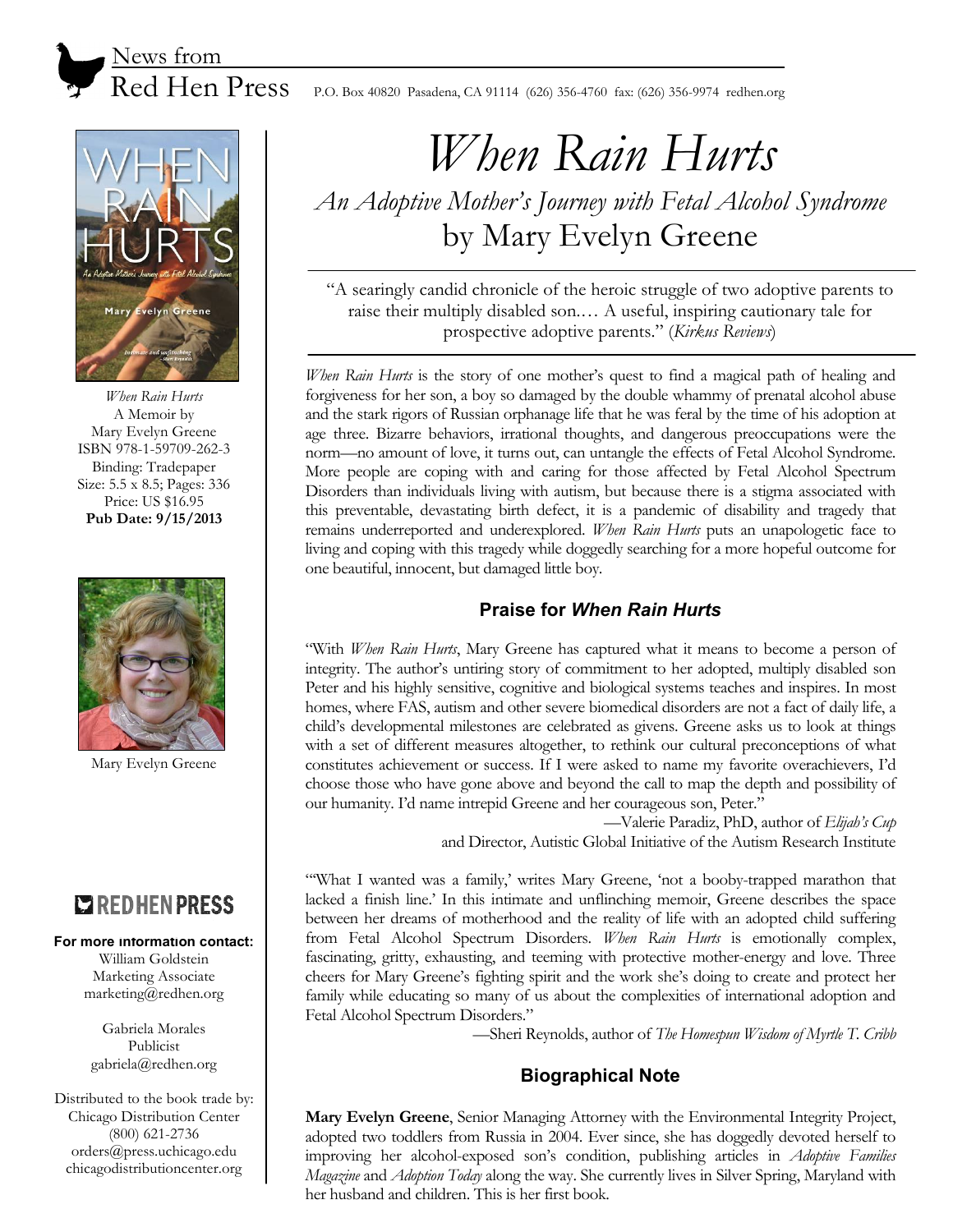News from

Evelyn Greene

*When Rain Hurts*  A Memoir by Mary Evelyn Greene ISBN 978-1-59709-262-3 Binding: Tradepaper Size: 5.5 x 8.5; Pages: 336 Price: US \$16.95 **Pub Date: 9/15/2013** 



Mary Evelyn Greene

# **COREDHENPRESS**

#### **For more information contact:**

William Goldstein Marketing Associate marketing@redhen.org

Gabriela Morales Publicist gabriela@redhen.org

Distributed to the book trade by: Chicago Distribution Center (800) 621-2736 orders@press.uchicago.edu chicagodistributioncenter.org

Red Hen Press P.O. Box 40820 Pasadena, CA 91114 (626) 356-4760 fax: (626) 356-9974 redhen.org

# *When Rain Hurts*

*An Adoptive Mother's Journey with Fetal Alcohol Syndrome* by Mary Evelyn Greene

"A searingly candid chronicle of the heroic struggle of two adoptive parents to raise their multiply disabled son.… A useful, inspiring cautionary tale for prospective adoptive parents." (*Kirkus Reviews*)

*When Rain Hurts* is the story of one mother's quest to find a magical path of healing and forgiveness for her son, a boy so damaged by the double whammy of prenatal alcohol abuse and the stark rigors of Russian orphanage life that he was feral by the time of his adoption at age three. Bizarre behaviors, irrational thoughts, and dangerous preoccupations were the norm—no amount of love, it turns out, can untangle the effects of Fetal Alcohol Syndrome. More people are coping with and caring for those affected by Fetal Alcohol Spectrum Disorders than individuals living with autism, but because there is a stigma associated with this preventable, devastating birth defect, it is a pandemic of disability and tragedy that remains underreported and underexplored. *When Rain Hurts* puts an unapologetic face to living and coping with this tragedy while doggedly searching for a more hopeful outcome for one beautiful, innocent, but damaged little boy.

## **Praise for** *When Rain Hurts*

"With *When Rain Hurts*, Mary Greene has captured what it means to become a person of integrity. The author's untiring story of commitment to her adopted, multiply disabled son Peter and his highly sensitive, cognitive and biological systems teaches and inspires. In most homes, where FAS, autism and other severe biomedical disorders are not a fact of daily life, a child's developmental milestones are celebrated as givens. Greene asks us to look at things with a set of different measures altogether, to rethink our cultural preconceptions of what constitutes achievement or success. If I were asked to name my favorite overachievers, I'd choose those who have gone above and beyond the call to map the depth and possibility of our humanity. I'd name intrepid Greene and her courageous son, Peter."

—Valerie Paradiz, PhD, author of *Elijah's Cup* and Director, Autistic Global Initiative of the Autism Research Institute

"What I wanted was a family,' writes Mary Greene, 'not a booby-trapped marathon that lacked a finish line.' In this intimate and unflinching memoir, Greene describes the space between her dreams of motherhood and the reality of life with an adopted child suffering from Fetal Alcohol Spectrum Disorders. *When Rain Hurts* is emotionally complex, fascinating, gritty, exhausting, and teeming with protective mother-energy and love. Three cheers for Mary Greene's fighting spirit and the work she's doing to create and protect her family while educating so many of us about the complexities of international adoption and Fetal Alcohol Spectrum Disorders."

—Sheri Reynolds, author of *The Homespun Wisdom of Myrtle T. Cribb*

# **Biographical Note**

**Mary Evelyn Greene**, Senior Managing Attorney with the Environmental Integrity Project, adopted two toddlers from Russia in 2004. Ever since, she has doggedly devoted herself to improving her alcohol-exposed son's condition, publishing articles in *Adoptive Families Magazine* and *Adoption Today* along the way. She currently lives in Silver Spring, Maryland with her husband and children. This is her first book.